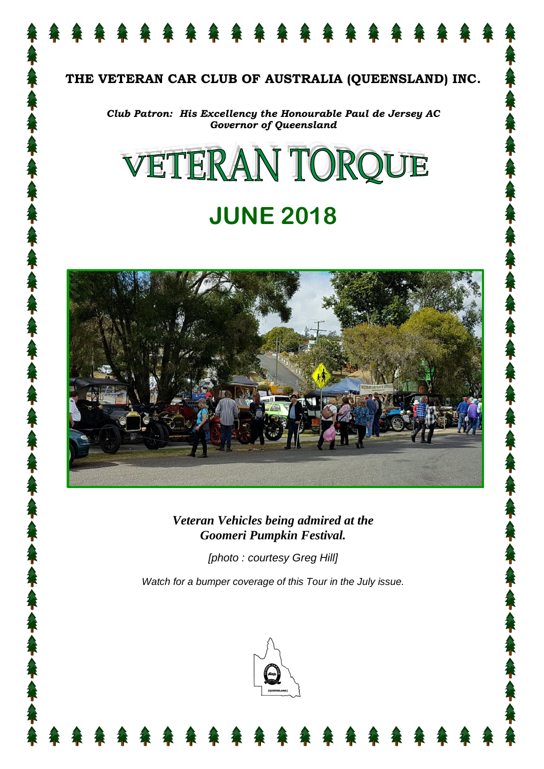

### **THE VETERAN CAR CLUB OF AUSTRALIA (QUEENSLAND) INC.**

*Club Patron: His Excellency the Honourable Paul de Jersey AC Governor of Queensland*

# VETERAN TORQUE

# **JUNE 2018**



*Veteran Vehicles being admired at the Goomeri Pumpkin Festival.*

*[photo : courtesy Greg Hill]*

*Watch for a bumper coverage of this Tour in the July issue.*

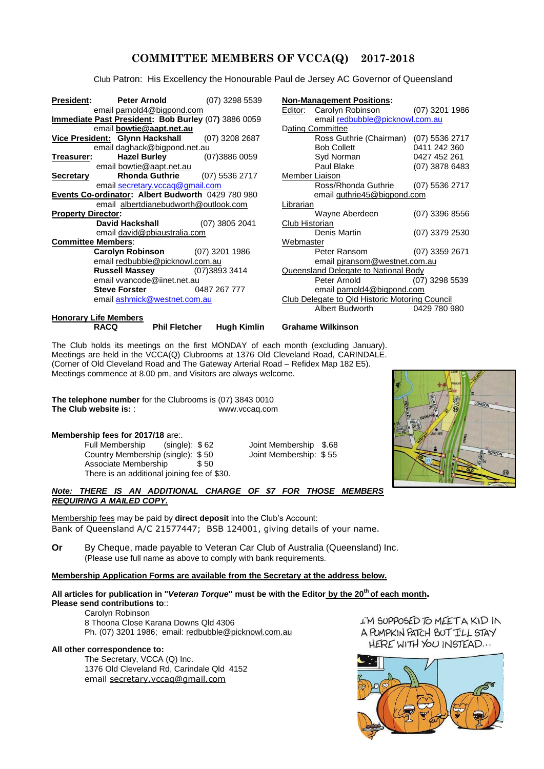#### **COMMITTEE MEMBERS OF VCCA(Q) 2017-2018**

Club Patron: His Excellency the Honourable Paul de Jersey AC Governor of Queensland

| President:                                          | Peter Arnold                                   | (07) 3298 5539 |                | <b>Non-Management Positions:</b>               |                |  |
|-----------------------------------------------------|------------------------------------------------|----------------|----------------|------------------------------------------------|----------------|--|
|                                                     | email parnold4@bigpond.com                     |                | Editor:        | Carolyn Robinson (07) 3201 1986                |                |  |
| Immediate Past President: Bob Burley (07) 3886 0059 |                                                |                |                | email redbubble@picknowl.com.au                |                |  |
|                                                     | email bowtie@aapt.net.au                       |                |                | Dating Committee                               |                |  |
|                                                     | Vice President: Glynn Hackshall (07) 3208 2687 |                |                | Ross Guthrie (Chairman) (07) 5536 2717         |                |  |
|                                                     | email daghack@bigpond.net.au                   |                |                | <b>Bob Collett</b>                             | 0411 242 360   |  |
| <u>Treasurer:</u>                                   | Hazel Burley (07)3886 0059                     |                |                | Syd Norman                                     | 0427 452 261   |  |
|                                                     | email bowtie@aapt.net.au                       |                |                | Paul Blake                                     | (07) 3878 6483 |  |
| <b>Secretary</b>                                    | <b>Rhonda Guthrie</b>                          | (07) 5536 2717 |                | Member Liaison                                 |                |  |
|                                                     | email secretary.vccaq@gmail.com                |                |                | Ross/Rhonda Guthrie (07) 5536 2717             |                |  |
| Events Co-ordinator: Albert Budworth 0429 780 980   |                                                |                |                | email guthrie45@bigpond.com                    |                |  |
|                                                     | email albertdianebudworth@outlook.com          |                | Librarian      |                                                |                |  |
| <b>Property Director:</b>                           |                                                |                |                | Wayne Aberdeen                                 | (07) 3396 8556 |  |
|                                                     | <b>David Hackshall</b> (07) 3805 2041          |                | Club Historian |                                                |                |  |
|                                                     | email david@pbiaustralia.com                   |                |                | Denis Martin                                   | (07) 3379 2530 |  |
| <b>Committee Members:</b>                           |                                                |                |                | Webmaster                                      |                |  |
|                                                     | <b>Carolyn Robinson</b> (07) 3201 1986         |                |                | Peter Ransom (07) 3359 2671                    |                |  |
|                                                     | email redbubble@picknowl.com.au                |                |                | email piransom@westnet.com.au                  |                |  |
|                                                     | <b>Russell Massey</b> (07)3893 3414            |                |                | Queensland Delegate to National Body           |                |  |
|                                                     | email vvancode@iinet.net.au                    |                |                | Peter Arnold (07) 3298 5539                    |                |  |
|                                                     | <b>Steve Forster</b> 0487 267 777              |                |                | email parnold4@bigpond.com                     |                |  |
|                                                     | email ashmick@westnet.com.au                   |                |                | Club Delegate to Qld Historic Motoring Council |                |  |
|                                                     |                                                |                |                | Albert Budworth                                | 0429 780 980   |  |
|                                                     | <b>Honorary Life Members</b>                   |                |                |                                                |                |  |

| <u>it:</u>                                   | <b>Peter Arnold</b> $(07)$ 3298 5539                 |  | Non-Management Positions:                      |                                         |                |  |  |
|----------------------------------------------|------------------------------------------------------|--|------------------------------------------------|-----------------------------------------|----------------|--|--|
|                                              | email parnold4@bigpond.com                           |  |                                                | Editor: Carolyn Robinson (07) 3201 1986 |                |  |  |
| te Past President: Bob Burley (07) 3886 0059 |                                                      |  |                                                | email redbubble@picknowl.com.au         |                |  |  |
| email bowtie@aapt.net.au                     |                                                      |  | Dating Committee                               |                                         |                |  |  |
|                                              | sident: Glynn Hackshall (07) 3208 2687               |  |                                                | Ross Guthrie (Chairman) (07) 5536 2717  |                |  |  |
| email daghack@bigpond.net.au                 |                                                      |  |                                                | <b>Bob Collett Bob Collett</b>          | 0411 242 360   |  |  |
|                                              | <b>Hazel Burley</b> (07)3886 0059<br><u>er: a se</u> |  |                                                | Syd Norman                              | 0427 452 261   |  |  |
|                                              | email bowtie@aapt.net.au                             |  |                                                | Paul Blake                              | (07) 3878 6483 |  |  |
|                                              | <b>Rhonda Guthrie</b> (07) 5536 2717<br>y            |  |                                                | Member Liaison                          |                |  |  |
|                                              | email secretary.vccaq@gmail.com                      |  |                                                | Ross/Rhonda Guthrie (07) 5536 2717      |                |  |  |
| Co-ordinator: Albert Budworth 0429 780 980   |                                                      |  | email guthrie45@bigpond.com                    |                                         |                |  |  |
| email albertdianebudworth@outlook.com        |                                                      |  | Librarian                                      |                                         |                |  |  |
|                                              | Director:                                            |  |                                                | Wayne Aberdeen                          | (07) 3396 8556 |  |  |
|                                              | <b>David Hackshall</b> (07) 3805 2041                |  | Club Historian                                 |                                         |                |  |  |
| email david@pbiaustralia.com                 |                                                      |  |                                                | Denis Martin                            | (07) 3379 2530 |  |  |
| ee Members:                                  |                                                      |  |                                                | Webmaster                               |                |  |  |
|                                              | <b>Carolyn Robinson</b> (07) 3201 1986               |  |                                                | Peter Ransom (07) 3359 2671             |                |  |  |
| email redbubble@picknowl.com.au              |                                                      |  | email piransom@westnet.com.au                  |                                         |                |  |  |
|                                              | <b>Russell Massey</b> (07)3893 3414                  |  | Queensland Delegate to National Body           |                                         |                |  |  |
| email vyancode@iinet.net.au                  |                                                      |  |                                                | Peter Arnold (07) 3298 5539             |                |  |  |
|                                              | <b>Steve Forster</b> 0487 267 777                    |  | email parnold4@bigpond.com                     |                                         |                |  |  |
| email ashmick@westnet.com.au                 |                                                      |  | Club Delegate to Qld Historic Motoring Council |                                         |                |  |  |
|                                              |                                                      |  |                                                | Albert Budworth 0429 780 980            |                |  |  |

**RACQ Phil Fletcher Hugh Kimlin Grahame Wilkinson**

The Club holds its meetings on the first MONDAY of each month (excluding January). Meetings are held in the VCCA(Q) Clubrooms at 1376 Old Cleveland Road, CARINDALE. (Corner of Old Cleveland Road and The Gateway Arterial Road – Refidex Map 182 E5). Meetings commence at 8.00 pm, and Visitors are always welcome.

**The telephone number** for the Clubrooms is (07) 3843 0010 **The Club website is:** : www.vccaq.com

#### **Membership fees for 2017/18** are:.

Full Membership (single): \$62 Joint Membership \$.68<br>Country Membership (single): \$50 Joint Membership: \$55 Country Membership (single): \$50 Associate Membership \$50 There is an additional joining fee of \$30.

#### *Note: THERE IS AN ADDITIONAL CHARGE OF \$7 FOR THOSE MEMBERS REQUIRING A MAILED COPY.*

Membership fees may be paid by **direct deposit** into the Club's Account: Bank of Queensland A/C 21577447; BSB 124001, giving details of your name.

**Or** By Cheque, made payable to Veteran Car Club of Australia (Queensland) Inc. (Please use full name as above to comply with bank requirements.

#### **Membership Application Forms are available from the Secretary at the address below.**

#### **All articles for publication in "***Veteran Torque***" must be with the Editor by the 20th of each month. Please send contributions to**::

Carolyn Robinson 8 Thoona Close Karana Downs Qld 4306 Ph. (07) 3201 1986; email: [redbubble@picknowl.com.au](mailto:redbubble@picknowl.com.au)

#### **All other correspondence to:**

The Secretary, VCCA (Q) Inc. 1376 Old Cleveland Rd, Carindale Qld 4152 email [secretary.vccaq@gmail.com](mailto:secretary.vccaq@gmail.com)

L'M SUPPOSED TO MEET A KID IN A PUMPKIN PATCH BUT I'LL STAY HERE WITH YOU INSTEAD...



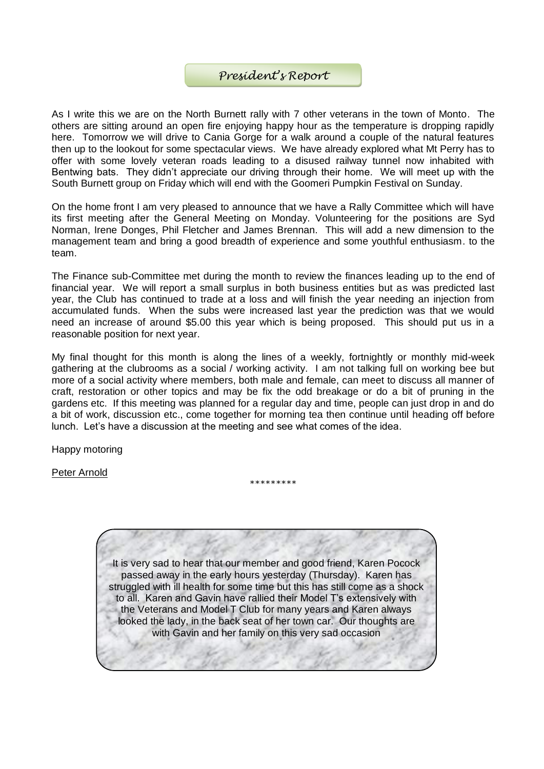#### *President's Report*

As I write this we are on the North Burnett rally with 7 other veterans in the town of Monto. The others are sitting around an open fire enjoying happy hour as the temperature is dropping rapidly here. Tomorrow we will drive to Cania Gorge for a walk around a couple of the natural features then up to the lookout for some spectacular views. We have already explored what Mt Perry has to offer with some lovely veteran roads leading to a disused railway tunnel now inhabited with Bentwing bats. They didn't appreciate our driving through their home. We will meet up with the South Burnett group on Friday which will end with the Goomeri Pumpkin Festival on Sunday.

On the home front I am very pleased to announce that we have a Rally Committee which will have its first meeting after the General Meeting on Monday. Volunteering for the positions are Syd Norman, Irene Donges, Phil Fletcher and James Brennan. This will add a new dimension to the management team and bring a good breadth of experience and some youthful enthusiasm. to the team.

The Finance sub-Committee met during the month to review the finances leading up to the end of financial year. We will report a small surplus in both business entities but as was predicted last year, the Club has continued to trade at a loss and will finish the year needing an injection from accumulated funds. When the subs were increased last year the prediction was that we would need an increase of around \$5.00 this year which is being proposed. This should put us in a reasonable position for next year.

My final thought for this month is along the lines of a weekly, fortnightly or monthly mid-week gathering at the clubrooms as a social / working activity. I am not talking full on working bee but more of a social activity where members, both male and female, can meet to discuss all manner of craft, restoration or other topics and may be fix the odd breakage or do a bit of pruning in the gardens etc. If this meeting was planned for a regular day and time, people can just drop in and do a bit of work, discussion etc., come together for morning tea then continue until heading off before lunch. Let's have a discussion at the meeting and see what comes of the idea.

\*\*\*\*\*\*\*\*\*

Happy motoring

Peter Arnold

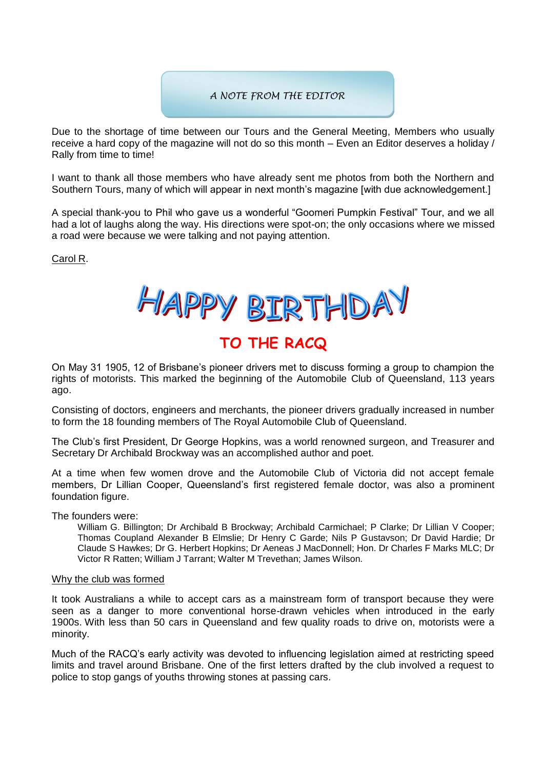# *Goomeri Gossip A NOTE FROM THE EDITOR*

Due to the shortage of time between our Tours and the General Meeting, Members who usually receive a hard copy of the magazine will not do so this month – Even an Editor deserves a holiday / Rally from time to time!

I want to thank all those members who have already sent me photos from both the Northern and Southern Tours, many of which will appear in next month's magazine [with due acknowledgement.]

A special thank-you to Phil who gave us a wonderful "Goomeri Pumpkin Festival" Tour, and we all had a lot of laughs along the way. His directions were spot-on; the only occasions where we missed a road were because we were talking and not paying attention.

Carol R.

HAPPY BIRTHDAY

# **TO THE RACQ**

On May 31 1905, 12 of Brisbane's pioneer drivers met to discuss forming a group to champion the rights of motorists. This marked the beginning of the Automobile Club of Queensland, 113 years ago.

Consisting of doctors, engineers and merchants, the pioneer drivers gradually increased in number to form the 18 founding members of The Royal Automobile Club of Queensland.

The Club's first President, Dr George Hopkins, was a world renowned surgeon, and Treasurer and Secretary Dr Archibald Brockway was an accomplished author and poet.

At a time when few women drove and the Automobile Club of Victoria did not accept female members, Dr Lillian Cooper, Queensland's first registered female doctor, was also a prominent foundation figure.

The founders were:

William G. Billington; Dr Archibald B Brockway; Archibald Carmichael; P Clarke; Dr Lillian V Cooper; Thomas Coupland Alexander B Elmslie; Dr Henry C Garde; Nils P Gustavson; Dr David Hardie; Dr Claude S Hawkes; Dr G. Herbert Hopkins; Dr Aeneas J MacDonnell; Hon. Dr Charles F Marks MLC; Dr Victor R Ratten; William J Tarrant; Walter M Trevethan; James Wilson.

#### Why the club was formed

It took Australians a while to accept cars as a mainstream form of transport because they were seen as a danger to more conventional horse-drawn vehicles when introduced in the early 1900s. With less than 50 cars in Queensland and few quality roads to drive on, motorists were a minority.

Much of the RACQ's early activity was devoted to influencing legislation aimed at restricting speed limits and travel around Brisbane. One of the first letters drafted by the club involved a request to police to stop gangs of youths throwing stones at passing cars.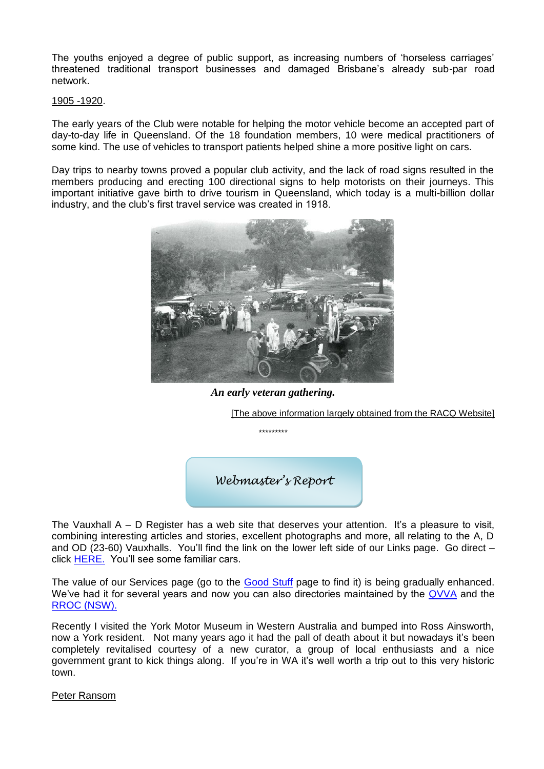The youths enjoyed a degree of public support, as increasing numbers of 'horseless carriages' threatened traditional transport businesses and damaged Brisbane's already sub-par road network.

#### 1905 -1920.

The early years of the Club were notable for helping the motor vehicle become an accepted part of day-to-day life in Queensland. Of the 18 foundation members, 10 were medical practitioners of some kind. The use of vehicles to transport patients helped shine a more positive light on cars.

Day trips to nearby towns proved a popular club activity, and the lack of road signs resulted in the members producing and erecting 100 directional signs to help motorists on their journeys. This important initiative gave birth to drive tourism in Queensland, which today is a multi-billion dollar industry, and the club's first travel service was created in 1918.



*An early veteran gathering.*

\*\*\*\*\*\*\*\*\*

[The above information largely obtained from the RACQ Website]

*Webmaster's Report*

The Vauxhall A – D Register has a web site that deserves your attention. It's a pleasure to visit, combining interesting articles and stories, excellent photographs and more, all relating to the A, D and OD (23-60) Vauxhalls. You'll find the link on the lower left side of our Links page. Go direct – click [HERE.](https://www.yorkmotormuseum.com/) You'll see some familiar cars.

The value of our Services page (go to the [Good Stuff](https://www.vccaq.com/recordings) page to find it) is being gradually enhanced. We've had it for several years and now you can also directories maintained by the [QVVA](https://www.shannons.com.au/club/carclubs/queensland-vintage-vehicle-association-inc/forsale/) and the [RROC \(NSW\).](https://rroc.org.au/wiki/images/6/64/GloveBoxServiceDirectory-Imposed.pdf)

Recently I visited the York Motor Museum in Western Australia and bumped into Ross Ainsworth, now a York resident. Not many years ago it had the pall of death about it but nowadays it's been completely revitalised courtesy of a new curator, a group of local enthusiasts and a nice government grant to kick things along. If you're in WA it's well worth a trip out to this very historic town.

#### Peter Ransom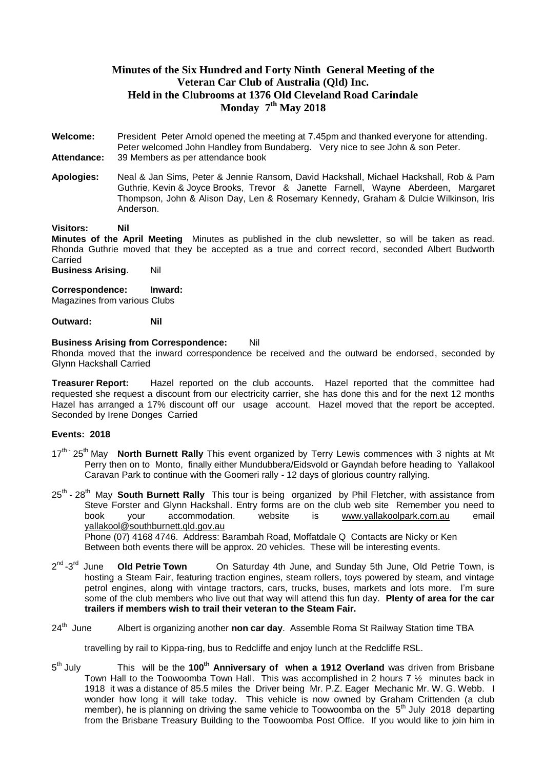#### **Minutes of the Six Hundred and Forty Ninth General Meeting of the Veteran Car Club of Australia (Qld) Inc. Held in the Clubrooms at 1376 Old Cleveland Road Carindale Monday 7 th May 2018**

- **Welcome:** President Peter Arnold opened the meeting at 7.45pm and thanked everyone for attending. Peter welcomed John Handley from Bundaberg. Very nice to see John & son Peter. **Attendance:** 39 Members as per attendance book
- **Apologies:** Neal & Jan Sims, Peter & Jennie Ransom, David Hackshall, Michael Hackshall, Rob & Pam Guthrie, Kevin & Joyce Brooks, Trevor & Janette Farnell, Wayne Aberdeen, Margaret Thompson, John & Alison Day, Len & Rosemary Kennedy, Graham & Dulcie Wilkinson, Iris Anderson.

#### **Visitors: Nil**

**Minutes of the April Meeting** Minutes as published in the club newsletter, so will be taken as read. Rhonda Guthrie moved that they be accepted as a true and correct record, seconded Albert Budworth Carried

**Business Arising.** Nil

**Correspondence: Inward:**

Magazines from various Clubs

**Outward: Nil**

#### **Business Arising from Correspondence:** Nil

Rhonda moved that the inward correspondence be received and the outward be endorsed, seconded by Glynn Hackshall Carried

**Treasurer Report:** Hazel reported on the club accounts. Hazel reported that the committee had requested she request a discount from our electricity carrier, she has done this and for the next 12 months Hazel has arranged a 17% discount off our usage account. Hazel moved that the report be accepted. Seconded by Irene Donges Carried

#### **Events: 2018**

- 17<sup>th -</sup> 25<sup>th</sup> May **North Burnett Rally** This event organized by Terry Lewis commences with 3 nights at Mt Perry then on to Monto, finally either Mundubbera/Eidsvold or Gayndah before heading to Yallakool Caravan Park to continue with the Goomeri rally - 12 days of glorious country rallying.
- 25<sup>th</sup> 28<sup>th</sup> May **South Burnett Rally** This tour is being organized by Phil Fletcher, with assistance from Steve Forster and Glynn Hackshall. Entry forms are on the club web site Remember you need to<br>book vour accommodation. website is www.vallakoolpark.com.au email book your accommodation. website is [www.yallakoolpark.com.au](http://www.yallakoolpark.com.au/) email [yallakool@southburnett.qld.gov.au](mailto:yallakool@southburnett.qld.gov.au) Phone (07) 4168 4746. Address: Barambah Road, Moffatdale Q Contacts are Nicky or Ken

Between both events there will be approx. 20 vehicles. These will be interesting events.

- $2^{nd}$ -3 $^{rd}$ **Old Petrie Town** On Saturday 4th June, and Sunday 5th June, Old Petrie Town, is hosting a Steam Fair, featuring traction engines, steam rollers, toys powered by steam, and vintage petrol engines, along with vintage tractors, cars, trucks, buses, markets and lots more. I'm sure some of the club members who live out that way will attend this fun day. **Plenty of area for the car trailers if members wish to trail their veteran to the Steam Fair.**
- $24^{\text{th}}$  June Albert is organizing another **non car day**. Assemble Roma St Railway Station time TBA

travelling by rail to Kippa-ring, bus to Redcliffe and enjoy lunch at the Redcliffe RSL.

5<sup>th</sup> July This will be the 100<sup>th</sup> Anniversary of when a 1912 Overland was driven from Brisbane Town Hall to the Toowoomba Town Hall. This was accomplished in 2 hours 7 ½ minutes back in 1918 it was a distance of 85.5 miles the Driver being Mr. P.Z. Eager Mechanic Mr. W. G. Webb. I wonder how long it will take today. This vehicle is now owned by Graham Crittenden (a club member), he is planning on driving the same vehicle to Toowoomba on the  $5<sup>th</sup>$  July 2018 departing from the Brisbane Treasury Building to the Toowoomba Post Office. If you would like to join him in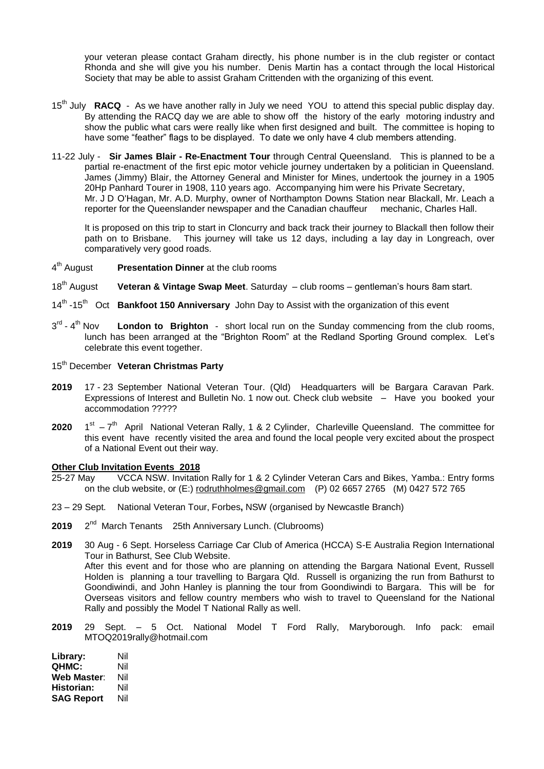your veteran please contact Graham directly, his phone number is in the club register or contact Rhonda and she will give you his number. Denis Martin has a contact through the local Historical Society that may be able to assist Graham Crittenden with the organizing of this event.

- 15th July **RACQ** As we have another rally in July we need YOU to attend this special public display day. By attending the RACQ day we are able to show off the history of the early motoring industry and show the public what cars were really like when first designed and built. The committee is hoping to have some "feather" flags to be displayed. To date we only have 4 club members attending.
- 11-22 July **Sir James Blair - Re-Enactment Tour** through Central Queensland. This is planned to be a partial re-enactment of the first epic motor vehicle journey undertaken by a politician in Queensland. James (Jimmy) Blair, the Attorney General and Minister for Mines, undertook the journey in a 1905 20Hp Panhard Tourer in 1908, 110 years ago. Accompanying him were his Private Secretary, Mr. J D O'Hagan, Mr. A.D. Murphy, owner of Northampton Downs Station near Blackall, Mr. Leach a reporter for the Queenslander newspaper and the Canadian chauffeur mechanic, Charles Hall.

It is proposed on this trip to start in Cloncurry and back track their journey to Blackall then follow their path on to Brisbane. This journey will take us 12 days, including a lay day in Longreach, over comparatively very good roads.

- $4<sup>th</sup>$  August **Presentation Dinner** at the club rooms
- 18th August **Veteran & Vintage Swap Meet**. Saturday club rooms gentleman's hours 8am start.
- 14<sup>th</sup> -15<sup>th</sup> Oct **Bankfoot 150 Anniversary** John Day to Assist with the organization of this event
- $3^{\text{rd}}$  4 **London to Brighton** - short local run on the Sunday commencing from the club rooms, lunch has been arranged at the "Brighton Room" at the Redland Sporting Ground complex. Let's celebrate this event together.
- 15th December **Veteran Christmas Party**
- **2019** 17 23 September National Veteran Tour. (Qld) Headquarters will be Bargara Caravan Park. Expressions of Interest and Bulletin No. 1 now out. Check club website – Have you booked your accommodation ?????
- **2020** 1  $s$ <sup>t</sup>  $-7$ <sup>th</sup> April National Veteran Rally, 1 & 2 Cylinder, Charleville Queensland. The committee for this event have recently visited the area and found the local people very excited about the prospect of a National Event out their way.

#### **Other Club Invitation Events 2018**

- 25-27 May VCCA NSW. Invitation Rally for 1 & 2 Cylinder Veteran Cars and Bikes, Yamba.: Entry forms on the club website, or (E:) [rodruthholmes@gmail.com](mailto:rodruthholmes@gmail.com) (P) 02 6657 2765 (M) 0427 572 765
- 23 29 Sept. National Veteran Tour, Forbes**,** NSW (organised by Newcastle Branch)
- **2019** 2  $2<sup>nd</sup>$  March Tenants  $25th$  Anniversary Lunch. (Clubrooms)

**2019** 30 Aug - 6 Sept. Horseless Carriage Car Club of America (HCCA) S-E Australia Region International Tour in Bathurst, See Club Website. After this event and for those who are planning on attending the Bargara National Event, Russell Holden is planning a tour travelling to Bargara Qld. Russell is organizing the run from Bathurst to Goondiwindi, and John Hanley is planning the tour from Goondiwindi to Bargara. This will be for Overseas visitors and fellow country members who wish to travel to Queensland for the National Rally and possibly the Model T National Rally as well.

**2019** 29 Sept. – 5 Oct. National Model T Ford Rally, Maryborough. Info pack: email MTOQ2019rally@hotmail.com

**Library:** Nil **QHMC:** Nil **Web Master**: Nil **Historian:** Nil **SAG Report** Nil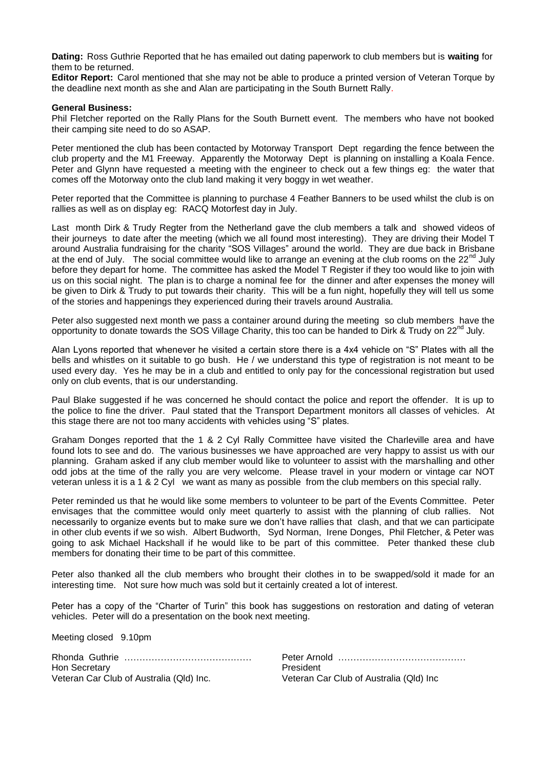**Dating:** Ross Guthrie Reported that he has emailed out dating paperwork to club members but is **waiting** for them to be returned.

**Editor Report:** Carol mentioned that she may not be able to produce a printed version of Veteran Torque by the deadline next month as she and Alan are participating in the South Burnett Rally.

#### **General Business:**

Phil Fletcher reported on the Rally Plans for the South Burnett event. The members who have not booked their camping site need to do so ASAP.

Peter mentioned the club has been contacted by Motorway Transport Dept regarding the fence between the club property and the M1 Freeway. Apparently the Motorway Dept is planning on installing a Koala Fence. Peter and Glynn have requested a meeting with the engineer to check out a few things eg: the water that comes off the Motorway onto the club land making it very boggy in wet weather.

Peter reported that the Committee is planning to purchase 4 Feather Banners to be used whilst the club is on rallies as well as on display eg: RACQ Motorfest day in July.

Last month Dirk & Trudy Regter from the Netherland gave the club members a talk and showed videos of their journeys to date after the meeting (which we all found most interesting). They are driving their Model T around Australia fundraising for the charity "SOS Villages" around the world. They are due back in Brisbane at the end of July. The social committee would like to arrange an evening at the club rooms on the  $22<sup>nd</sup>$  July before they depart for home. The committee has asked the Model T Register if they too would like to join with us on this social night. The plan is to charge a nominal fee for the dinner and after expenses the money will be given to Dirk & Trudy to put towards their charity. This will be a fun night, hopefully they will tell us some of the stories and happenings they experienced during their travels around Australia.

Peter also suggested next month we pass a container around during the meeting so club members have the opportunity to donate towards the SOS Village Charity, this too can be handed to Dirk & Trudy on 22<sup>nd</sup> July.

Alan Lyons reported that whenever he visited a certain store there is a 4x4 vehicle on "S" Plates with all the bells and whistles on it suitable to go bush. He / we understand this type of registration is not meant to be used every day. Yes he may be in a club and entitled to only pay for the concessional registration but used only on club events, that is our understanding.

Paul Blake suggested if he was concerned he should contact the police and report the offender. It is up to the police to fine the driver. Paul stated that the Transport Department monitors all classes of vehicles. At this stage there are not too many accidents with vehicles using "S" plates.

Graham Donges reported that the 1 & 2 Cyl Rally Committee have visited the Charleville area and have found lots to see and do. The various businesses we have approached are very happy to assist us with our planning. Graham asked if any club member would like to volunteer to assist with the marshalling and other odd jobs at the time of the rally you are very welcome. Please travel in your modern or vintage car NOT veteran unless it is a 1 & 2 Cyl we want as many as possible from the club members on this special rally.

Peter reminded us that he would like some members to volunteer to be part of the Events Committee. Peter envisages that the committee would only meet quarterly to assist with the planning of club rallies. Not necessarily to organize events but to make sure we don't have rallies that clash, and that we can participate in other club events if we so wish. Albert Budworth, Syd Norman, Irene Donges, Phil Fletcher, & Peter was going to ask Michael Hackshall if he would like to be part of this committee. Peter thanked these club members for donating their time to be part of this committee.

Peter also thanked all the club members who brought their clothes in to be swapped/sold it made for an interesting time. Not sure how much was sold but it certainly created a lot of interest.

Peter has a copy of the "Charter of Turin" this book has suggestions on restoration and dating of veteran vehicles. Peter will do a presentation on the book next meeting.

Meeting closed 9.10pm

Rhonda Guthrie …………………………………… Peter Arnold …………………………………… Hon Secretary **President** Veteran Car Club of Australia (Qld) Inc. Veteran Car Club of Australia (Qld) Inc